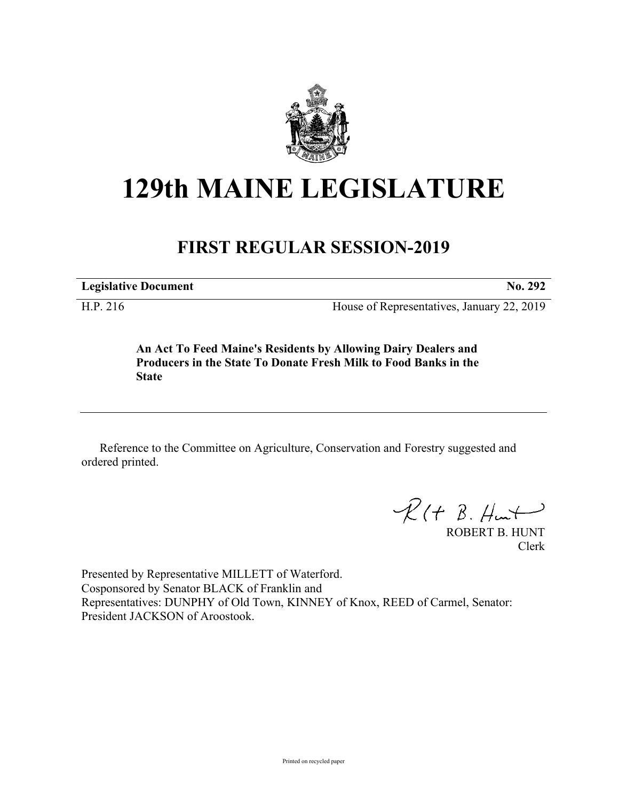

## **129th MAINE LEGISLATURE**

## **FIRST REGULAR SESSION-2019**

**Legislative Document No. 292**

H.P. 216 House of Representatives, January 22, 2019

**An Act To Feed Maine's Residents by Allowing Dairy Dealers and Producers in the State To Donate Fresh Milk to Food Banks in the State**

Reference to the Committee on Agriculture, Conservation and Forestry suggested and ordered printed.

 $R(H B. H<sub>un</sub>+)$ 

ROBERT B. HUNT Clerk

Presented by Representative MILLETT of Waterford. Cosponsored by Senator BLACK of Franklin and Representatives: DUNPHY of Old Town, KINNEY of Knox, REED of Carmel, Senator: President JACKSON of Aroostook.